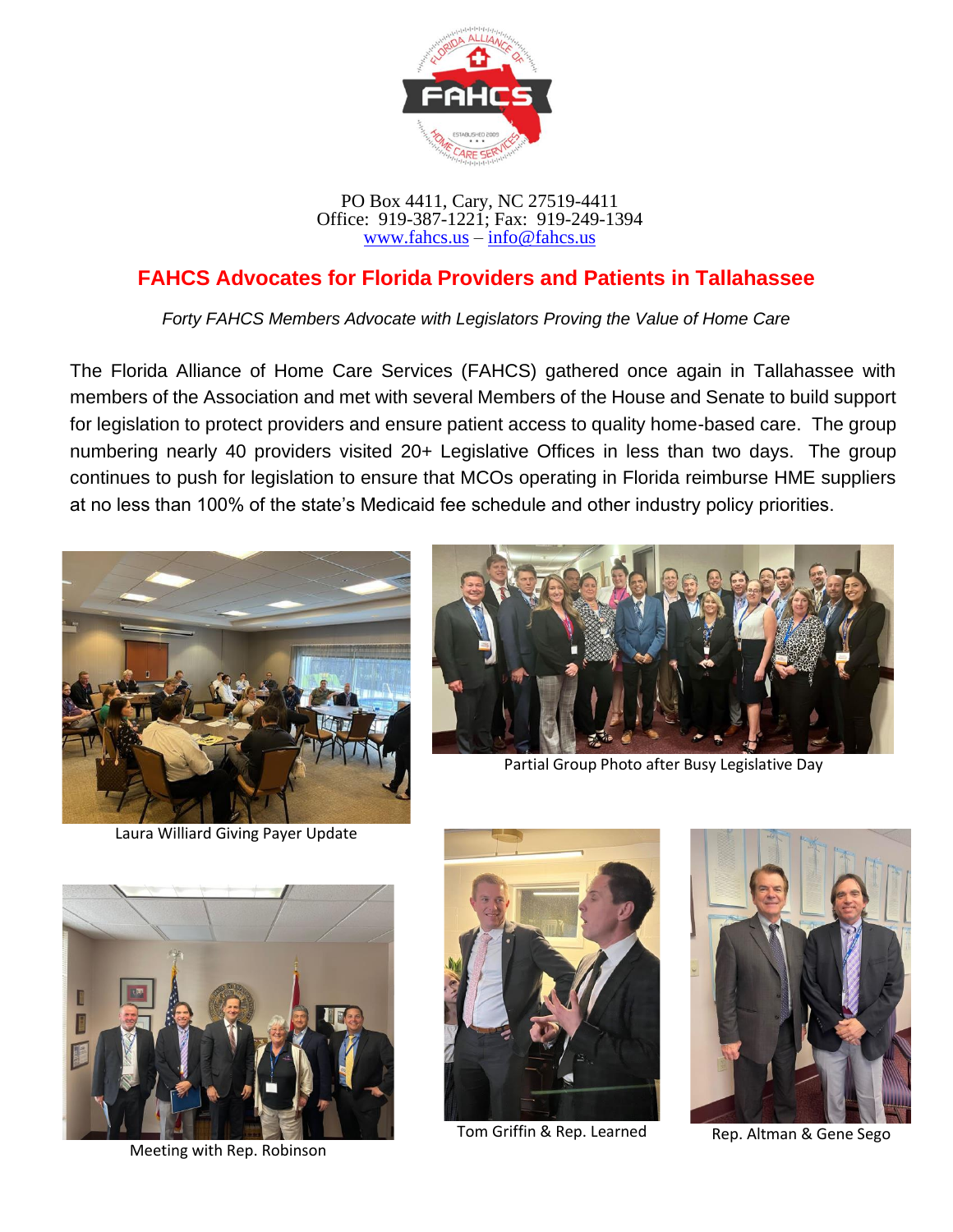

PO Box 4411, Cary, NC 27519-4411 Office: 919-387-1221; Fax: 919-249-1394 [www.fahcs.us](http://www.fahcs.us/) – [info@fahcs.us](mailto:info@fahcs.us)

## **FAHCS Advocates for Florida Providers and Patients in Tallahassee**

*Forty FAHCS Members Advocate with Legislators Proving the Value of Home Care*

The Florida Alliance of Home Care Services (FAHCS) gathered once again in Tallahassee with members of the Association and met with several Members of the House and Senate to build support for legislation to protect providers and ensure patient access to quality home-based care. The group numbering nearly 40 providers visited 20+ Legislative Offices in less than two days. The group continues to push for legislation to ensure that MCOs operating in Florida reimburse HME suppliers at no less than 100% of the state's Medicaid fee schedule and other industry policy priorities.



Laura Williard Giving Payer Update



Partial Group Photo after Busy Legislative Day



Meeting with Rep. Robinson



Tom Griffin & Rep. Learned Rep. Altman & Gene Sego